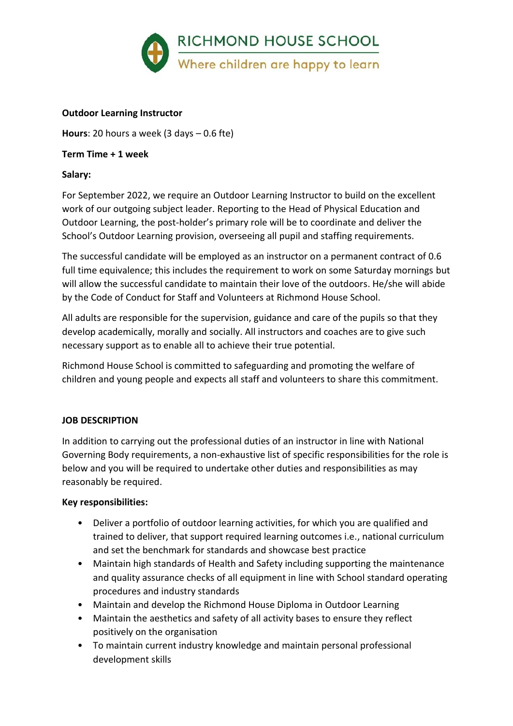

#### **Outdoor Learning Instructor**

**Hours**: 20 hours a week (3 days – 0.6 fte)

#### **Term Time + 1 week**

#### **Salary:**

For September 2022, we require an Outdoor Learning Instructor to build on the excellent work of our outgoing subject leader. Reporting to the Head of Physical Education and Outdoor Learning, the post-holder's primary role will be to coordinate and deliver the School's Outdoor Learning provision, overseeing all pupil and staffing requirements.

The successful candidate will be employed as an instructor on a permanent contract of 0.6 full time equivalence; this includes the requirement to work on some Saturday mornings but will allow the successful candidate to maintain their love of the outdoors. He/she will abide by the Code of Conduct for Staff and Volunteers at Richmond House School.

All adults are responsible for the supervision, guidance and care of the pupils so that they develop academically, morally and socially. All instructors and coaches are to give such necessary support as to enable all to achieve their true potential.

Richmond House School is committed to safeguarding and promoting the welfare of children and young people and expects all staff and volunteers to share this commitment.

## **JOB DESCRIPTION**

In addition to carrying out the professional duties of an instructor in line with National Governing Body requirements, a non-exhaustive list of specific responsibilities for the role is below and you will be required to undertake other duties and responsibilities as may reasonably be required.

#### **Key responsibilities:**

- Deliver a portfolio of outdoor learning activities, for which you are qualified and trained to deliver, that support required learning outcomes i.e., national curriculum and set the benchmark for standards and showcase best practice
- Maintain high standards of Health and Safety including supporting the maintenance and quality assurance checks of all equipment in line with School standard operating procedures and industry standards
- Maintain and develop the Richmond House Diploma in Outdoor Learning
- Maintain the aesthetics and safety of all activity bases to ensure they reflect positively on the organisation
- To maintain current industry knowledge and maintain personal professional development skills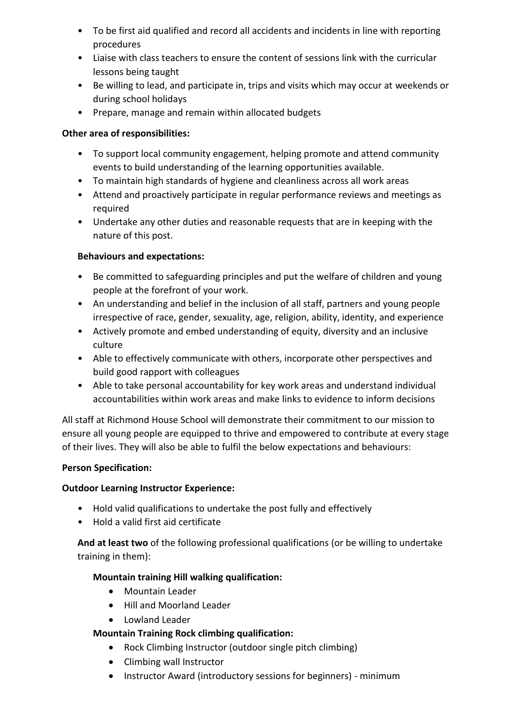- To be first aid qualified and record all accidents and incidents in line with reporting procedures
- Liaise with class teachers to ensure the content of sessions link with the curricular lessons being taught
- Be willing to lead, and participate in, trips and visits which may occur at weekends or during school holidays
- Prepare, manage and remain within allocated budgets

## **Other area of responsibilities:**

- To support local community engagement, helping promote and attend community events to build understanding of the learning opportunities available.
- To maintain high standards of hygiene and cleanliness across all work areas
- Attend and proactively participate in regular performance reviews and meetings as required
- Undertake any other duties and reasonable requests that are in keeping with the nature of this post.

# **Behaviours and expectations:**

- Be committed to safeguarding principles and put the welfare of children and young people at the forefront of your work.
- An understanding and belief in the inclusion of all staff, partners and young people irrespective of race, gender, sexuality, age, religion, ability, identity, and experience
- Actively promote and embed understanding of equity, diversity and an inclusive culture
- Able to effectively communicate with others, incorporate other perspectives and build good rapport with colleagues
- Able to take personal accountability for key work areas and understand individual accountabilities within work areas and make links to evidence to inform decisions

All staff at Richmond House School will demonstrate their commitment to our mission to ensure all young people are equipped to thrive and empowered to contribute at every stage of their lives. They will also be able to fulfil the below expectations and behaviours:

# **Person Specification:**

# **Outdoor Learning Instructor Experience:**

- Hold valid qualifications to undertake the post fully and effectively
- Hold a valid first aid certificate

**And at least two** of the following professional qualifications (or be willing to undertake training in them):

# **Mountain training Hill walking qualification:**

- Mountain Leader
- Hill and Moorland Leader
- Lowland Leader

# **Mountain Training Rock climbing qualification:**

- Rock Climbing Instructor (outdoor single pitch climbing)
- Climbing wall Instructor
- Instructor Award (introductory sessions for beginners) minimum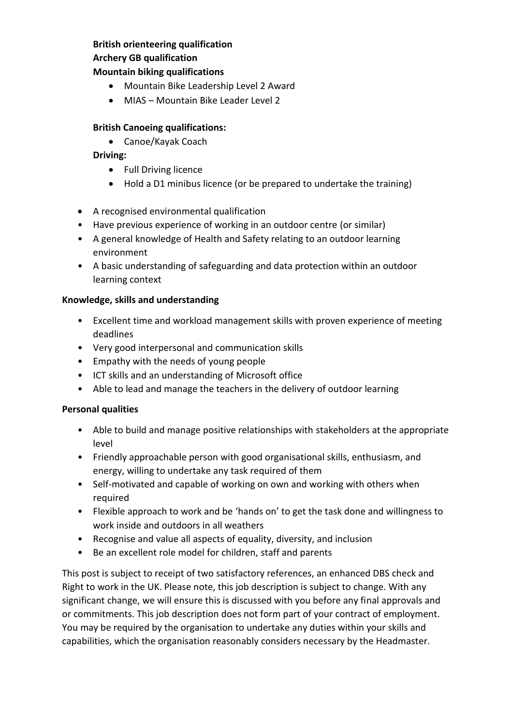## **British orienteering qualification Archery GB qualification**

## **Mountain biking qualifications**

- Mountain Bike Leadership Level 2 Award
- MIAS Mountain Bike Leader Level 2

## **British Canoeing qualifications:**

Canoe/Kayak Coach

**Driving:**

- Full Driving licence
- Hold a D1 minibus licence (or be prepared to undertake the training)
- A recognised environmental qualification
- Have previous experience of working in an outdoor centre (or similar)
- A general knowledge of Health and Safety relating to an outdoor learning environment
- A basic understanding of safeguarding and data protection within an outdoor learning context

## **Knowledge, skills and understanding**

- Excellent time and workload management skills with proven experience of meeting deadlines
- Very good interpersonal and communication skills
- Empathy with the needs of young people
- ICT skills and an understanding of Microsoft office
- Able to lead and manage the teachers in the delivery of outdoor learning

## **Personal qualities**

- Able to build and manage positive relationships with stakeholders at the appropriate level
- Friendly approachable person with good organisational skills, enthusiasm, and energy, willing to undertake any task required of them
- Self-motivated and capable of working on own and working with others when required
- Flexible approach to work and be 'hands on' to get the task done and willingness to work inside and outdoors in all weathers
- Recognise and value all aspects of equality, diversity, and inclusion
- Be an excellent role model for children, staff and parents

This post is subject to receipt of two satisfactory references, an enhanced DBS check and Right to work in the UK. Please note, this job description is subject to change. With any significant change, we will ensure this is discussed with you before any final approvals and or commitments. This job description does not form part of your contract of employment. You may be required by the organisation to undertake any duties within your skills and capabilities, which the organisation reasonably considers necessary by the Headmaster.